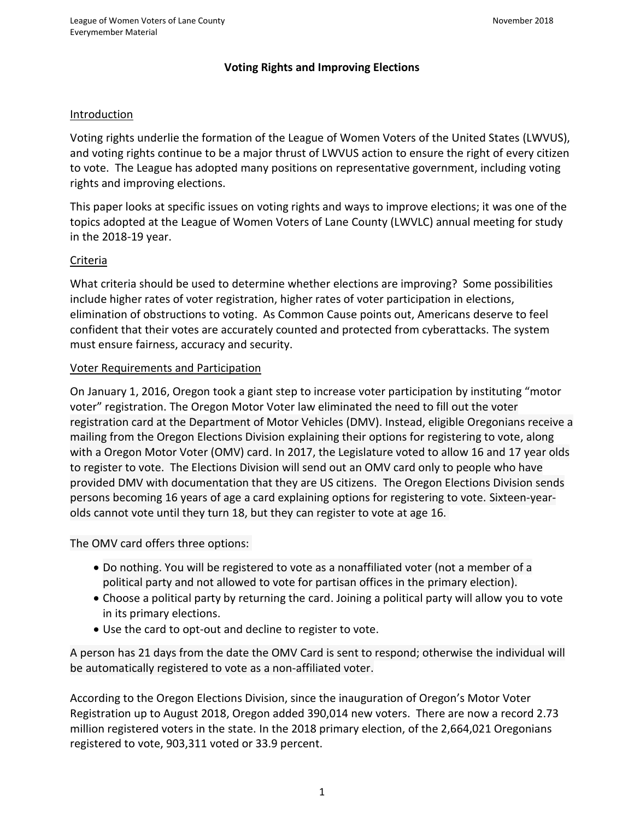## **Voting Rights and Improving Elections**

### Introduction

Voting rights underlie the formation of the League of Women Voters of the United States (LWVUS), and voting rights continue to be a major thrust of LWVUS action to ensure the right of every citizen to vote. The League has adopted many positions on representative government, including voting rights and improving elections.

This paper looks at specific issues on voting rights and ways to improve elections; it was one of the topics adopted at the League of Women Voters of Lane County (LWVLC) annual meeting for study in the 2018-19 year.

### Criteria

What criteria should be used to determine whether elections are improving? Some possibilities include higher rates of voter registration, higher rates of voter participation in elections, elimination of obstructions to voting. As Common Cause points out, Americans deserve to feel confident that their votes are accurately counted and protected from cyberattacks. The system must ensure fairness, accuracy and security.

### Voter Requirements and Participation

On January 1, 2016, Oregon took a giant step to increase voter participation by instituting "motor voter" registration. The Oregon Motor Voter law eliminated the need to fill out the voter registration card at the Department of Motor Vehicles (DMV). Instead, eligible Oregonians receive a mailing from the Oregon Elections Division explaining their options for registering to vote, along with a Oregon Motor Voter (OMV) card. In 2017, the Legislature voted to allow 16 and 17 year olds to register to vote. The Elections Division will send out an OMV card only to people who have provided DMV with documentation that they are US citizens. The Oregon Elections Division sends persons becoming 16 years of age a card explaining options for registering to vote. Sixteen-yearolds cannot vote until they turn 18, but they can register to vote at age 16.

The OMV card offers three options:

- Do nothing. You will be registered to vote as a nonaffiliated voter (not a member of a political party and not allowed to vote for partisan offices in the primary election).
- Choose a political party by returning the card. Joining a political party will allow you to vote in its primary elections.
- Use the card to opt-out and decline to register to vote.

A person has 21 days from the date the OMV Card is sent to respond; otherwise the individual will be automatically registered to vote as a non-affiliated voter.

According to the Oregon Elections Division, since the inauguration of Oregon's Motor Voter Registration up to August 2018, Oregon added 390,014 new voters. There are now a record 2.73 million registered voters in the state. In the 2018 primary election, of the 2,664,021 Oregonians registered to vote, 903,311 voted or 33.9 percent.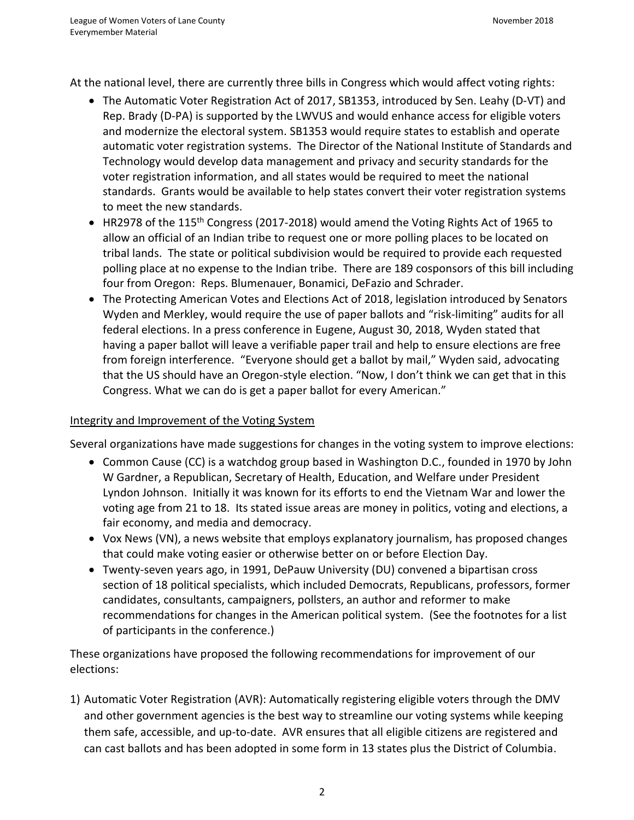At the national level, there are currently three bills in Congress which would affect voting rights:

- The Automatic Voter Registration Act of 2017, SB1353, introduced by Sen. Leahy (D-VT) and Rep. Brady (D-PA) is supported by the LWVUS and would enhance access for eligible voters and modernize the electoral system. SB1353 would require states to establish and operate automatic voter registration systems. The Director of the National Institute of Standards and Technology would develop data management and privacy and security standards for the voter registration information, and all states would be required to meet the national standards. Grants would be available to help states convert their voter registration systems to meet the new standards.
- HR2978 of the 115<sup>th</sup> Congress (2017-2018) would amend the Voting Rights Act of 1965 to allow an official of an Indian tribe to request one or more polling places to be located on tribal lands. The state or political subdivision would be required to provide each requested polling place at no expense to the Indian tribe. There are 189 cosponsors of this bill including four from Oregon: Reps. Blumenauer, Bonamici, DeFazio and Schrader.
- The Protecting American Votes and Elections Act of 2018, legislation introduced by Senators Wyden and Merkley, would require the use of paper ballots and "risk-limiting" audits for all federal elections. In a press conference in Eugene, August 30, 2018, Wyden stated that having a paper ballot will leave a verifiable paper trail and help to ensure elections are free from foreign interference. "Everyone should get a ballot by mail," Wyden said, advocating that the US should have an Oregon-style election. "Now, I don't think we can get that in this Congress. What we can do is get a paper ballot for every American."

### Integrity and Improvement of the Voting System

Several organizations have made suggestions for changes in the voting system to improve elections:

- Common Cause (CC) is a watchdog group based in Washington D.C., founded in 1970 by John W Gardner, a Republican, Secretary of Health, Education, and Welfare under President Lyndon Johnson. Initially it was known for its efforts to end the Vietnam War and lower the voting age from 21 to 18. Its stated issue areas are money in politics, voting and elections, a fair economy, and media and democracy.
- Vox News (VN), a news website that employs explanatory journalism, has proposed changes that could make voting easier or otherwise better on or before Election Day.
- Twenty-seven years ago, in 1991, DePauw University (DU) convened a bipartisan cross section of 18 political specialists, which included Democrats, Republicans, professors, former candidates, consultants, campaigners, pollsters, an author and reformer to make recommendations for changes in the American political system. (See the footnotes for a list of participants in the conference.)

These organizations have proposed the following recommendations for improvement of our elections:

1) Automatic Voter Registration (AVR): Automatically registering eligible voters through the DMV and other government agencies is the best way to streamline our voting systems while keeping them safe, accessible, and up-to-date. AVR ensures that all eligible citizens are registered and can cast ballots and has been adopted in some form in 13 states plus the District of Columbia.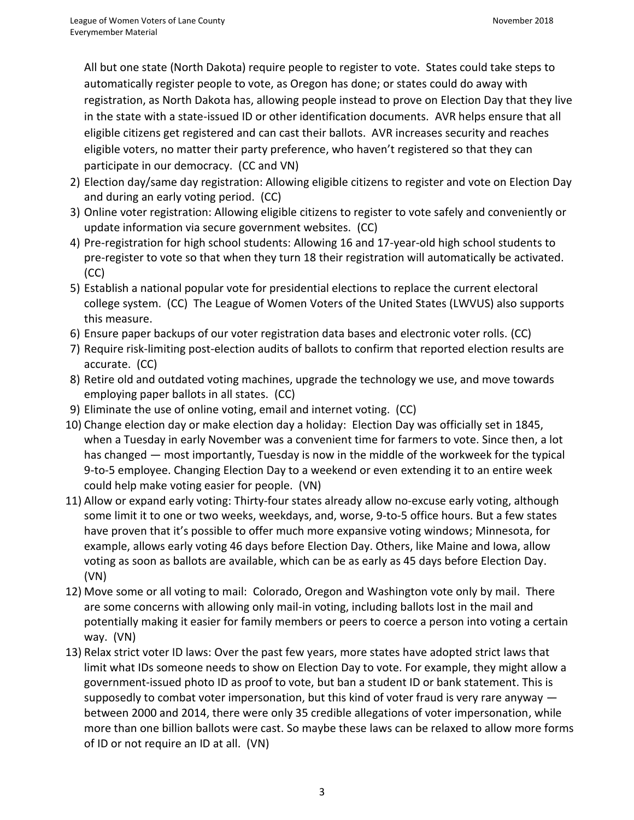All but one state (North Dakota) require people to register to vote. States could take steps to automatically register people to vote, as Oregon has done; or states could do away with registration, as North Dakota has, allowing people instead to prove on Election Day that they live in the state with a state-issued ID or other identification documents. AVR helps ensure that all eligible citizens get registered and can cast their ballots. AVR increases security and reaches eligible voters, no matter their party preference, who haven't registered so that they can participate in our democracy. (CC and VN)

- 2) Election day/same day registration: Allowing eligible citizens to register and vote on Election Day and during an early voting period. (CC)
- 3) Online voter registration: Allowing eligible citizens to register to vote safely and conveniently or update information via secure government websites. (CC)
- 4) Pre-registration for high school students: Allowing 16 and 17-year-old high school students to pre-register to vote so that when they turn 18 their registration will automatically be activated. (CC)
- 5) Establish a national popular vote for presidential elections to replace the current electoral college system. (CC) The League of Women Voters of the United States (LWVUS) also supports this measure.
- 6) Ensure paper backups of our voter registration data bases and electronic voter rolls. (CC)
- 7) Require risk-limiting post-election audits of ballots to confirm that reported election results are accurate. (CC)
- 8) Retire old and outdated voting machines, upgrade the technology we use, and move towards employing paper ballots in all states. (CC)
- 9) Eliminate the use of online voting, email and internet voting. (CC)
- 10) Change election day or make election day a holiday: Election Day wa[s officially set](http://www.vox.com/policy-and-politics/2016/10/26/13375172/election-day-tuesday-voting) in 1845, when a Tuesday in early November was a convenient time for farmers to vote. Since then, a lot has changed — most importantly, Tuesday is now in the middle of the workweek for the typical 9-to-5 employee. Changing Election Day to a weekend or even extending it to an entire week could help make voting easier for people. (VN)
- 11) Allow or expand early voting: [Thirty-four](https://ballotpedia.org/Early_voting) states already allow no-excuse early voting, although some limit it to one or two weeks, weekdays, and, worse, 9-to-5 office hours. But a few states have proven that it's possible to offer much more expansive voting windows; Minnesota, for example, allows early voting 46 days before Election Day. Others, like Maine and Iowa, allow voting as soon as ballots are available, which can be as early as 45 days before Election Day. (VN)
- 12) Move some or all voting to mail: Colorado, Oregon and Washington vote only by mail. There are some concerns with allowing only mail-in voting, including ballots lost in the mail and potentially making it easier for family members or peers to coerce a person into voting a certain way. (VN)
- 13) Relax strict voter ID laws: Over the past few years, [more states](http://www.vox.com/2016/8/4/12369778/voter-restrictions-id-laws-supreme-court) have adopted strict laws that limit what IDs someone needs to show on Election Day to vote. For example, they might allow a government-issued photo ID as proof to vote, but ban a student ID or bank statement. This is supposedly to combat voter impersonation, but this kind of voter fraud is very rare anyway  $$ between 2000 and 2014, there were [only 35 credible allegations of voter impersonation,](http://www.vox.com/policy-and-politics/2016/10/31/13478134/voter-fraud-id-2016-trump) while more than one billion ballots were cast. So maybe these laws can be relaxed to allow more forms of ID or not require an ID at all. (VN)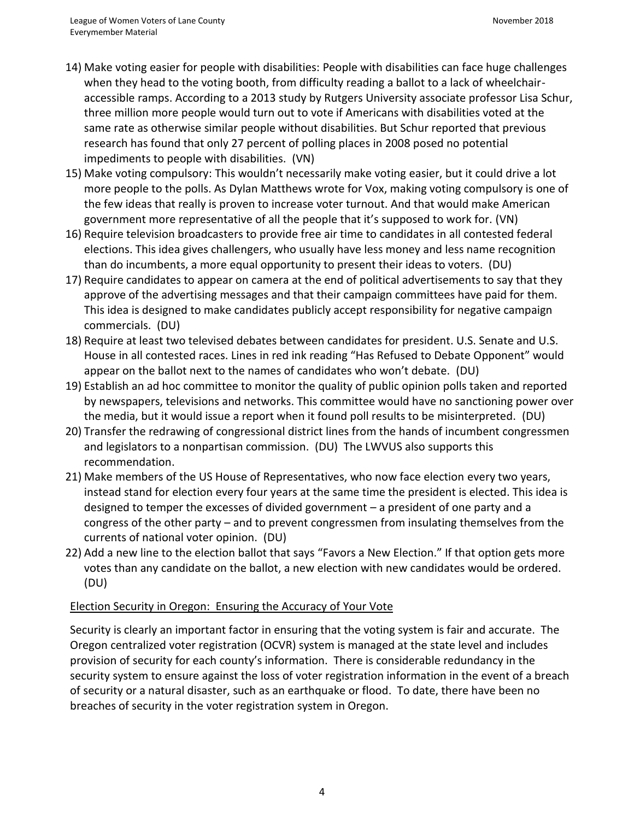- 14) Make voting easier for people with disabilities: People with disabilities can face huge challenges when they head to the voting booth, from difficulty reading a ballot to a lack of wheelchairaccessible ramps. According to [a 2013 study](http://vote.caltech.edu/working-papers/116) by Rutgers University associate professor Lisa Schur, three million more people would turn out to vote if Americans with disabilities voted at the same rate as otherwise similar people without disabilities. But Schur reported that previous research has found that only 27 percent of polling places in 2008 posed no potential impediments to people with disabilities. (VN)
- 15) Make voting compulsory: This wouldn't necessarily make voting easier, but it could drive a lot more people to the polls. As [Dylan Matthews wrote for Vox,](http://www.vox.com/2014/11/11/7155285/australia-compulsory-voting-turnout-midterm) making voting compulsory is one of the few ideas that really is proven to increase voter turnout. And that would make American government more representative of all the people that it's supposed to work for. (VN)
- 16) Require television broadcasters to provide free air time to candidates in all contested federal elections. This idea gives challengers, who usually have less money and less name recognition than do incumbents, a more equal opportunity to present their ideas to voters. (DU)
- 17) Require candidates to appear on camera at the end of political advertisements to say that they approve of the advertising messages and that their campaign committees have paid for them. This idea is designed to make candidates publicly accept responsibility for negative campaign commercials. (DU)
- 18) Require at least two televised debates between candidates for president. U.S. Senate and U.S. House in all contested races. Lines in red ink reading "Has Refused to Debate Opponent" would appear on the ballot next to the names of candidates who won't debate. (DU)
- 19) Establish an ad hoc committee to monitor the quality of public opinion polls taken and reported by newspapers, televisions and networks. This committee would have no sanctioning power over the media, but it would issue a report when it found poll results to be misinterpreted. (DU)
- 20) Transfer the redrawing of congressional district lines from the hands of incumbent congressmen and legislators to a nonpartisan commission. (DU) The LWVUS also supports this recommendation.
- 21) Make members of the US House of Representatives, who now face election every two years, instead stand for election every four years at the same time the president is elected. This idea is designed to temper the excesses of divided government – a president of one party and a congress of the other party – and to prevent congressmen from insulating themselves from the currents of national voter opinion. (DU)
- 22) Add a new line to the election ballot that says "Favors a New Election." If that option gets more votes than any candidate on the ballot, a new election with new candidates would be ordered. (DU)

# Election Security in Oregon: Ensuring the Accuracy of Your Vote

Security is clearly an important factor in ensuring that the voting system is fair and accurate. The Oregon centralized voter registration (OCVR) system is managed at the state level and includes provision of security for each county's information. There is considerable redundancy in the security system to ensure against the loss of voter registration information in the event of a breach of security or a natural disaster, such as an earthquake or flood. To date, there have been no breaches of security in the voter registration system in Oregon.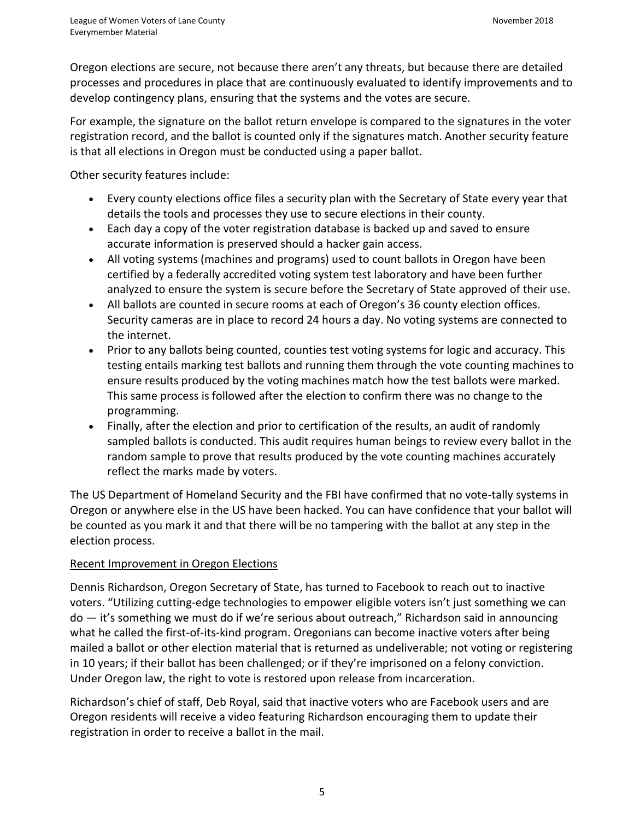Oregon elections are secure, not because there aren't any threats, but because there are detailed processes and procedures in place that are continuously evaluated to identify improvements and to develop contingency plans, ensuring that the systems and the votes are secure.

For example, the signature on the ballot return envelope is compared to the signatures in the voter registration record, and the ballot is counted only if the signatures match. Another security feature is that all elections in Oregon must be conducted using a paper ballot.

Other security features include:

- Every county elections office files a security plan with the Secretary of State every year that details the tools and processes they use to secure elections in their county.
- Each day a copy of the voter registration database is backed up and saved to ensure accurate information is preserved should a hacker gain access.
- All voting systems (machines and programs) used to count ballots in Oregon have been certified by a federally accredited voting system test laboratory and have been further analyzed to ensure the system is secure before the Secretary of State approved of their use.
- All ballots are counted in secure rooms at each of Oregon's 36 county election offices. Security cameras are in place to record 24 hours a day. No voting systems are connected to the internet.
- Prior to any ballots being counted, counties test voting systems for logic and accuracy. This testing entails marking test ballots and running them through the vote counting machines to ensure results produced by the voting machines match how the test ballots were marked. This same process is followed after the election to confirm there was no change to the programming.
- Finally, after the election and prior to certification of the results, an audit of randomly sampled ballots is conducted. This audit requires human beings to review every ballot in the random sample to prove that results produced by the vote counting machines accurately reflect the marks made by voters.

The US Department of Homeland Security and the FBI have confirmed that no vote-tally systems in Oregon or anywhere else in the US have been hacked. You can have confidence that your ballot will be counted as you mark it and that there will be no tampering with the ballot at any step in the election process.

## Recent Improvement in Oregon Elections

Dennis Richardson, Oregon Secretary of State, has turned to Facebook to reach out to inactive voters. "Utilizing cutting-edge technologies to empower eligible voters isn't just something we can do — it's something we must do if we're serious about outreach," Richardson said in announcing what he called the first-of-its-kind program. Oregonians can become inactive voters after being mailed a ballot or other election material that is returned as undeliverable; not voting or registering in 10 years; if their ballot has been challenged; or if they're imprisoned on a felony conviction. Under Oregon law, the right to vote is restored upon release from incarceration.

Richardson's chief of staff, Deb Royal, said that inactive voters who are Facebook users and are Oregon residents will receive a video featuring Richardson encouraging them to update their registration in order to receive a ballot in the mail.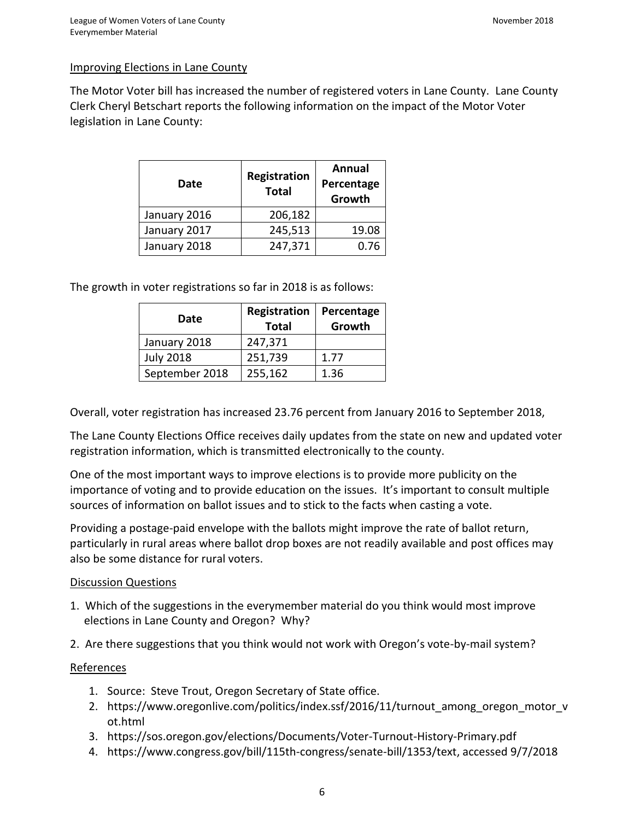### Improving Elections in Lane County

The Motor Voter bill has increased the number of registered voters in Lane County. Lane County Clerk Cheryl Betschart reports the following information on the impact of the Motor Voter legislation in Lane County:

| Date         | Registration<br><b>Total</b> | Annual<br>Percentage<br>Growth |
|--------------|------------------------------|--------------------------------|
| January 2016 | 206,182                      |                                |
| January 2017 | 245,513                      | 19.08                          |
| January 2018 | 247,371                      | 0.76                           |

The growth in voter registrations so far in 2018 is as follows:

| Date             | Registration<br><b>Total</b> | Percentage<br>Growth |
|------------------|------------------------------|----------------------|
| January 2018     | 247,371                      |                      |
| <b>July 2018</b> | 251,739                      | 1.77                 |
| September 2018   | 255,162                      | 1.36                 |

Overall, voter registration has increased 23.76 percent from January 2016 to September 2018,

The Lane County Elections Office receives daily updates from the state on new and updated voter registration information, which is transmitted electronically to the county.

One of the most important ways to improve elections is to provide more publicity on the importance of voting and to provide education on the issues. It's important to consult multiple sources of information on ballot issues and to stick to the facts when casting a vote.

Providing a postage-paid envelope with the ballots might improve the rate of ballot return, particularly in rural areas where ballot drop boxes are not readily available and post offices may also be some distance for rural voters.

#### Discussion Questions

- 1. Which of the suggestions in the everymember material do you think would most improve elections in Lane County and Oregon? Why?
- 2. Are there suggestions that you think would not work with Oregon's vote-by-mail system?

### References

- 1. Source: Steve Trout, Oregon Secretary of State office.
- 2. [https://www.oregonlive.com/politics/index.ssf/2016/11/turnout\\_among\\_oregon\\_motor\\_v](https://www.oregonlive.com/politics/index.ssf/2016/11/turnout_among_oregon_motor_vot.html) [ot.html](https://www.oregonlive.com/politics/index.ssf/2016/11/turnout_among_oregon_motor_vot.html)
- 3. https://sos.oregon.gov/elections/Documents/Voter-Turnout-History-Primary.pdf
- 4. [https://www.congress.gov/bill/115th-congress/senate-bill/1353/text,](https://www.congress.gov/bill/115th-congress/senate-bill/1353/text) accessed 9/7/2018